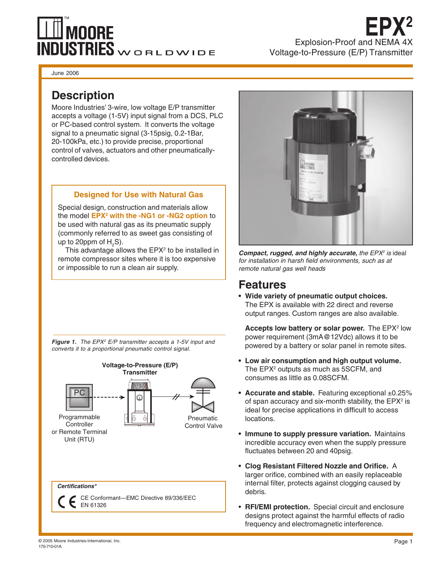# **MOORE** VDUSTRIES WORLDWIDE

**EPX2** Explosion-Proof and NEMA 4X Voltage-to-Pressure (E/P) Transmitter

June 2006

### **Description**

Moore Industries' 3-wire, low voltage E/P transmitter accepts a voltage (1-5V) input signal from a DCS, PLC or PC-based control system. It converts the voltage signal to a pneumatic signal (3-15psig, 0.2-1Bar, 20-100kPa, etc.) to provide precise, proportional control of valves, actuators and other pneumaticallycontrolled devices.

#### **Designed for Use with Natural Gas**

Special design, construction and materials allow the model **EPX2 with the -NG1 or -NG2 option** to be used with natural gas as its pneumatic supply (commonly referred to as sweet gas consisting of up to 20ppm of  $\mathsf{H}_{_2}\mathsf{S}$ ).

This advantage allows the  $EPX<sup>2</sup>$  to be installed in remote compressor sites where it is too expensive or impossible to run a clean air supply.

**Figure 1.** The EPX<sup>2</sup> E/P transmitter accepts a 1-5V input and converts it to a proportional pneumatic control signal.





**Compact, rugged, and highly accurate, the EPX<sup>2</sup> is ideal** for installation in harsh field environments, such as at remote natural gas well heads

#### **Features**

**• Wide variety of pneumatic output choices.** The EPX is available with 22 direct and reverse output ranges. Custom ranges are also available.

**Accepts low battery or solar power.** The EPX<sup>2</sup> low power requirement (3mA@12Vdc) allows it to be powered by a battery or solar panel in remote sites.

- **Low air consumption and high output volume.** The  $\mathsf{EPX}{}^{_{2}}$  outputs as much as  $5\mathsf{SCFM},$  and consumes as little as 0.08SCFM.
- Accurate and stable. Featuring exceptional ±0.25% of span accuracy and six-month stability, the  $\mathsf{E}\mathsf{P}\mathsf{X}^2$  is ideal for precise applications in difficult to access locations.
- **Immune to supply pressure variation.** Maintains incredible accuracy even when the supply pressure fluctuates between 20 and 40psig.
- **Clog Resistant Filtered Nozzle and Orifice.** A larger orifice, combined with an easily replaceable internal filter, protects against clogging caused by debris.
- **RFI/EMI protection.** Special circuit and enclosure designs protect against the harmful effects of radio frequency and electromagnetic interference.

© 2005 Moore Industries-International, Inc. 170-710-01A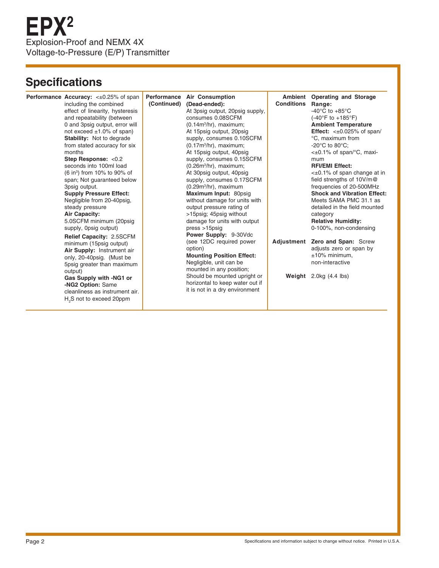# **Specifications**

|  | <b>Performance Accuracy:</b> <±0.25% of span | Performance | <b>Air Consumption</b>           |                   | Ambient Operating and Storage              |
|--|----------------------------------------------|-------------|----------------------------------|-------------------|--------------------------------------------|
|  | including the combined                       | (Continued) | (Dead-ended):                    | <b>Conditions</b> | Range:                                     |
|  | effect of linearity, hysteresis              |             | At 3psig output, 20psig supply,  |                   | -40 $^{\circ}$ C to +85 $^{\circ}$ C       |
|  | and repeatability (between                   |             | consumes 0.08SCFM                |                   | $(-40^{\circ}F to +185^{\circ}F)$          |
|  | 0 and 3psig output, error will               |             | $(0.14m3/hr)$ , maximum;         |                   | <b>Ambient Temperature</b>                 |
|  | not exceed $\pm 1.0\%$ of span)              |             | At 15psig output, 20psig         |                   | <b>Effect:</b> $\lt\pm 0.025\%$ of span/   |
|  | Stability: Not to degrade                    |             | supply, consumes 0.10SCFM        |                   | °C, maximum from                           |
|  | from stated accuracy for six                 |             | $(0.17m3/hr)$ , maximum;         |                   | $-20^{\circ}$ C to 80 $^{\circ}$ C:        |
|  | months                                       |             | At 15psig output, 40psig         |                   | $\lt\pm 0.1\%$ of span/ $\degree$ C, maxi- |
|  | Step Response: <0.2                          |             | supply, consumes 0.15SCFM        |                   | mum                                        |
|  | seconds into 100ml load                      |             | $(0.26m3/hr)$ , maximum;         |                   | <b>RFI/EMI Effect:</b>                     |
|  | $(6 \text{ in}^3)$ from 10% to 90% of        |             | At 30psig output, 40psig         |                   | $\leq \pm 0.1\%$ of span change at in      |
|  | span; Not guaranteed below                   |             | supply, consumes 0.17SCFM        |                   | field strengths of 10V/m@                  |
|  | 3psig output.                                |             | $(0.29m3/hr)$ , maximum          |                   | frequencies of 20-500MHz                   |
|  | <b>Supply Pressure Effect:</b>               |             | Maximum Input: 80psig            |                   | <b>Shock and Vibration Effect:</b>         |
|  | Negligible from 20-40psig,                   |             | without damage for units with    |                   | Meets SAMA PMC 31.1 as                     |
|  | steady pressure                              |             | output pressure rating of        |                   | detailed in the field mounted              |
|  | Air Capacity:                                |             | >15psig; 45psig without          |                   | category                                   |
|  | 5.0SCFM minimum (20psig                      |             | damage for units with output     |                   | <b>Relative Humidity:</b>                  |
|  | supply, Opsig output)                        |             | $press > 15$ psig                |                   | 0-100%, non-condensing                     |
|  | <b>Relief Capacity: 2.5SCFM</b>              |             | <b>Power Supply: 9-30Vdc</b>     |                   |                                            |
|  | minimum (15psig output)                      |             | (see 12DC required power         |                   | Adjustment Zero and Span: Screw            |
|  | Air Supply: Instrument air                   |             | option)                          |                   | adjusts zero or span by                    |
|  | only, 20-40psig. (Must be                    |             | <b>Mounting Position Effect:</b> |                   | $±10\%$ minimum.                           |
|  | 5psig greater than maximum                   |             | Negligible, unit can be          |                   | non-interactive                            |
|  | output)                                      |             | mounted in any position;         |                   |                                            |
|  | Gas Supply with -NG1 or                      |             | Should be mounted upright or     |                   | <b>Weight</b> $2.0kg$ (4.4 lbs)            |
|  | -NG2 Option: Same                            |             | horizontal to keep water out if  |                   |                                            |
|  | cleanliness as instrument air.               |             | it is not in a dry environment   |                   |                                            |
|  | H <sub>2</sub> S not to exceed 20ppm         |             |                                  |                   |                                            |
|  |                                              |             |                                  |                   |                                            |
|  |                                              |             |                                  |                   |                                            |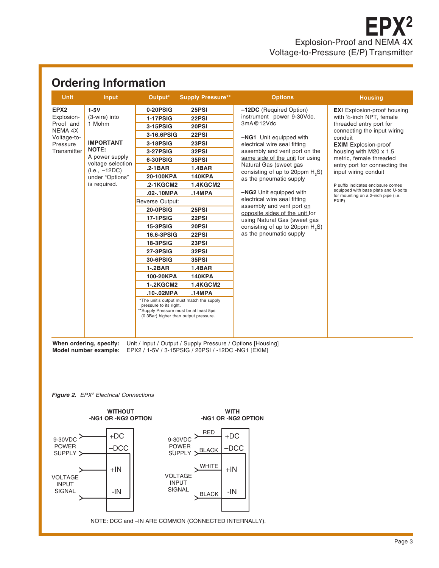## **Ordering Information**

| <b>Unit</b>                                                                                      | <b>Input</b>                                                                                                                                                       | Output*                                                                                                                                                                                                                                                                                                                                                                                     | <b>Supply Pressure**</b>                                                                                                                                                                                                                                                                                                                                                                 | <b>Options</b>                                                                                                                                                                                                                                                                                                                                                                                                                                                                                                         | <b>Housing</b>                                                                                                                                                                                                                                                                                                                                                                                                            |
|--------------------------------------------------------------------------------------------------|--------------------------------------------------------------------------------------------------------------------------------------------------------------------|---------------------------------------------------------------------------------------------------------------------------------------------------------------------------------------------------------------------------------------------------------------------------------------------------------------------------------------------------------------------------------------------|------------------------------------------------------------------------------------------------------------------------------------------------------------------------------------------------------------------------------------------------------------------------------------------------------------------------------------------------------------------------------------------|------------------------------------------------------------------------------------------------------------------------------------------------------------------------------------------------------------------------------------------------------------------------------------------------------------------------------------------------------------------------------------------------------------------------------------------------------------------------------------------------------------------------|---------------------------------------------------------------------------------------------------------------------------------------------------------------------------------------------------------------------------------------------------------------------------------------------------------------------------------------------------------------------------------------------------------------------------|
| EPX <sub>2</sub><br>Explosion-<br>Proof and<br>NEMA 4X<br>Voltage-to-<br>Pressure<br>Transmitter | $1-5V$<br>(3-wire) into<br>1 Mohm<br><b>IMPORTANT</b><br><b>NOTE:</b><br>A power supply<br>voltage selection<br>$(i.e., -12DC)$<br>under "Options"<br>is required. | 0-20PSIG<br><b>1-17PSIG</b><br>3-15PSIG<br>3-16.6PSIG<br>3-18PSIG<br><b>3-27PSIG</b><br>6-30PSIG<br>$.2 - 1 BAR$<br>20-100KPA<br>.2-1KGCM2<br>.02-.10MPA<br>Reverse Output:<br><b>20-0PSIG</b><br><b>17-1PSIG</b><br><b>15-3PSIG</b><br>16.6-3PSIG<br><b>18-3PSIG</b><br><b>27-3PSIG</b><br>30-6PSIG<br>$1 - 2BAR$<br>100-20KPA<br><b>1-.2KGCM2</b><br>.10-.02MPA<br>pressure to its right. | 25PSI<br>22PSI<br>20PSI<br>22PSI<br>23PSI<br>32PSI<br>35PSI<br><b>1.4BAR</b><br><b>140KPA</b><br><b>1.4KGCM2</b><br>.14MPA<br>25PSI<br>22PSI<br>20PSI<br>22PSI<br>23PSI<br>32PSI<br>35PSI<br><b>1.4BAR</b><br><b>140KPA</b><br><b>1.4KGCM2</b><br>.14MPA<br>*The unit's output must match the supply<br>**Supply Pressure must be at least 5psi<br>(0.3Bar) higher than output pressure. | -12DC (Required Option)<br>instrument power 9-30Vdc,<br>3mA@12Vdc<br>-NG1 Unit equipped with<br>electrical wire seal fitting<br>assembly and vent port on the<br>same side of the unit for using<br>Natural Gas (sweet gas<br>consisting of up to 20ppm $H_0S$ )<br>as the pneumatic supply<br>-NG2 Unit equipped with<br>electrical wire seal fitting<br>assembly and vent port on<br>opposite sides of the unit for<br>using Natural Gas (sweet gas<br>consisting of up to 20ppm $H_0S$ )<br>as the pneumatic supply | <b>EXI</b> Explosion-proof housing<br>with 1/2-inch NPT, female<br>threaded entry port for<br>connecting the input wiring<br>conduit<br><b>EXIM</b> Explosion-proof<br>housing with M20 x 1.5<br>metric, female threaded<br>entry port for connecting the<br>input wiring conduit<br><b>P</b> suffix indicates enclosure comes<br>equipped with base plate and U-bolts<br>for mounting on a 2-inch pipe (i.e.<br>$EXIP$ ) |
|                                                                                                  |                                                                                                                                                                    |                                                                                                                                                                                                                                                                                                                                                                                             |                                                                                                                                                                                                                                                                                                                                                                                          |                                                                                                                                                                                                                                                                                                                                                                                                                                                                                                                        |                                                                                                                                                                                                                                                                                                                                                                                                                           |

**When ordering, specify:** Unit / Input / Output / Supply Pressure / Options [Housing] **Model number example:** EPX2 / 1-5V / 3-15PSIG / 20PSI / -12DC -NG1 [EXIM]

**Figure 2.** EPX<sup>2</sup> Electrical Connections



Page 3